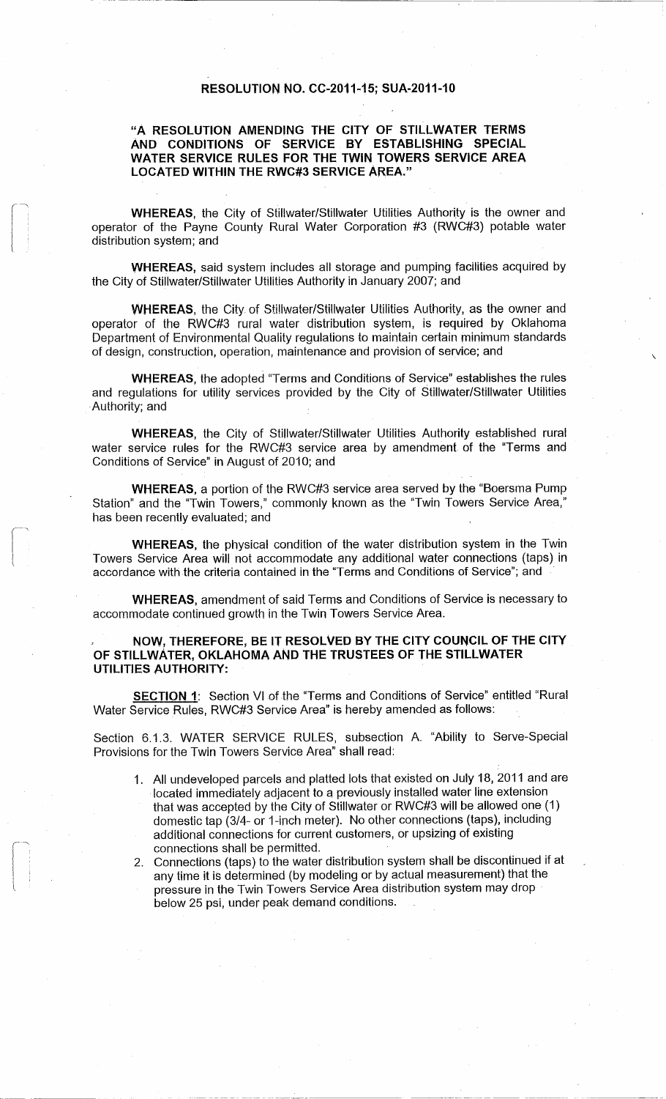## **RESOLUTION NO. CC-2011-15; SUA-2011-1 0**

## "A RESOLUTION AMENDING THE CITY OF STILLWATER TERMS **AND CONDITIONS OF SERVICE BY ESTABLISHING SPECIAL** WATER SERVICE RULES FOR THE TWIN TOWERS SERVICE AREA **LOCATED WITHIN THE RWC#3 SERVICE AREA . "**

**WHEREAS,** the City of Stillwater/Stillwater Utilities Authority is the owner and operator of the Payne County Rural Water Corporation #3 (RWC#3) potable water distribution system; and

**WHEREAS,** said system includes all storage and pumping facilities acquired by the City of Stillwater/Stillwater Utilities Authority in January 2007; and

WHEREAS, the City of Stillwater/Stillwater Utilities Authority, as the owner and operator of the RWC#3 rural water distribution system, is required by Oklahoma Department of Environmental Quality regulations to maintain certain minimum standards of design, construction, operation, maintenance and provision of service ; and

WHEREAS, the adopted "Terms and Conditions of Service" establishes the rules and regulations for utility services provided by the City of Stillwater/Stillwater Utilities Authority; and

**WHEREAS,** the City of Stillwater/Stillwater Utilities Authority established rural water service rules for the RWC#3 service area by amendment of the "Terms and Conditions of Service" in August of 2010; and

**WHEREAS**, a portion of the RWC#3 service area served by the "Boersma Pump Station" and the "Twin Towers," commonly known as the "Twin Towers Service Area," has been recently evaluated; and

 $\sqrt{2}$ r

WHEREAS, the physical condition of the water distribution system in the Twin Towers Service Area will not accommodate any additional water connections (taps) i n accordance with the criteria contained in the "Terms and Conditions of Service"; and

WHEREAS, amendment of said Terms and Conditions of Service is necessary to accommodate continued growth in the Twin Towers Service Area.

## NOW, THEREFORE, BE IT RESOLVED BY THE CITY COUNCIL OF THE CITY OF STILLWATER, OKLAHOMA AND THE TRUSTEES OF THE STILLWATER **UTILITIES AUTHORITY :**

**SECTION 1:** Section VI of the "Terms and Conditions of Service" entitled "Rural Water Service Rules, RWC#3 Service Area" is hereby amended as follows:

Section 6.1 .3 . WATER SERVICE RULES, subsection A. "Ability to Serve-Special Provisions for the Twin Towers Service Area" shall read :

- 1. All undeveloped parcels and platted lots that existed on July 18, 2011 and are located immediately adjacent to a previously installed water line extension that was accepted by the City of Stillwater or RWC#3 will be allowed one (1 ) domestic tap (3/4- or 1-inch meter). No other connections (taps), including additional connections for current customers, or upsizing of existing connections shall be permitted.
- 2. Connections (taps) to the water distribution system shall be discontinued if at any time it is determined (by modeling or by actual measurement) that the pressure in the Twin Towers Service Area distribution system may drop below 25 psi, under peak demand conditions .